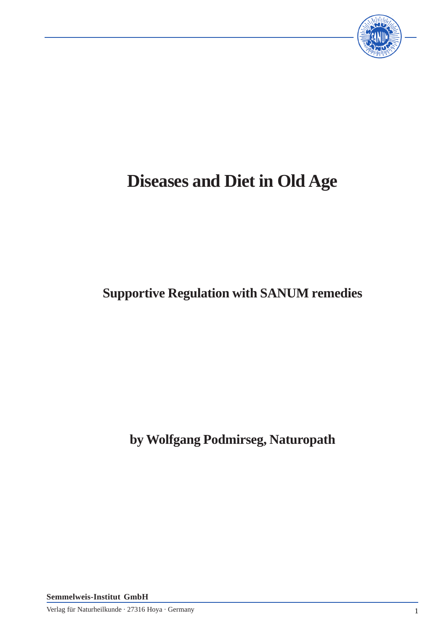

## **Diseases and Diet in Old Age**

## **Supportive Regulation with SANUM remedies**

**by Wolfgang Podmirseg, Naturopath**

**Semmelweis-Institut GmbH**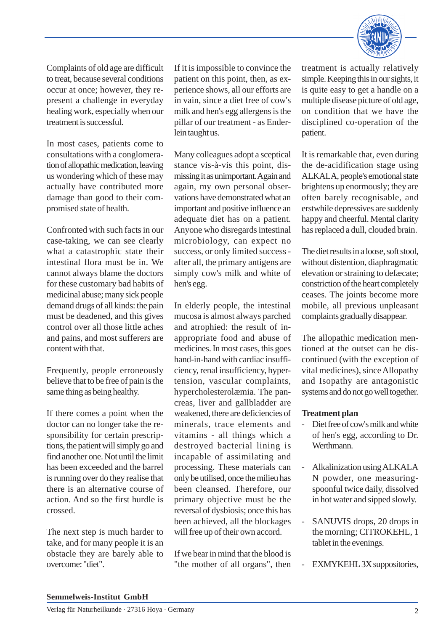

Complaints of old age are difficult to treat, because several conditions occur at once; however, they represent a challenge in everyday healing work, especially when our treatment is successful.

In most cases, patients come to consultations with a conglomeration of allopathic medication, leaving us wondering which of these may actually have contributed more damage than good to their compromised state of health.

Confronted with such facts in our case-taking, we can see clearly what a catastrophic state their intestinal flora must be in. We cannot always blame the doctors for these customary bad habits of medicinal abuse; many sick people demand drugs of all kinds: the pain must be deadened, and this gives control over all those little aches and pains, and most sufferers are content with that.

Frequently, people erroneously believe that to be free of pain is the same thing as being healthy.

If there comes a point when the doctor can no longer take the responsibility for certain prescriptions, the patient will simply go and find another one. Not until the limit has been exceeded and the barrel is running over do they realise that there is an alternative course of action. And so the first hurdle is crossed.

The next step is much harder to take, and for many people it is an obstacle they are barely able to overcome: "diet".

If it is impossible to convince the patient on this point, then, as experience shows, all our efforts are in vain, since a diet free of cow's milk and hen's egg allergens is the pillar of our treatment - as Enderlein taught us.

Many colleagues adopt a sceptical stance vis-à-vis this point, dismissing it as unimportant. Again and again, my own personal observations have demonstrated what an important and positive influence an adequate diet has on a patient. Anyone who disregards intestinal microbiology, can expect no success, or only limited success after all, the primary antigens are simply cow's milk and white of hen's egg.

In elderly people, the intestinal mucosa is almost always parched and atrophied: the result of inappropriate food and abuse of medicines. In most cases, this goes hand-in-hand with cardiac insufficiency, renal insufficiency, hypertension, vascular complaints, hypercholesterolæmia. The pancreas, liver and gallbladder are weakened, there are deficiencies of minerals, trace elements and vitamins - all things which a destroyed bacterial lining is incapable of assimilating and processing. These materials can only be utilised, once the milieu has been cleansed. Therefore, our primary objective must be the reversal of dysbiosis; once this has been achieved, all the blockages will free up of their own accord.

If we bear in mind that the blood is "the mother of all organs", then treatment is actually relatively simple. Keeping this in our sights, it is quite easy to get a handle on a multiple disease picture of old age, on condition that we have the disciplined co-operation of the patient.

It is remarkable that, even during the de-acidification stage using ALKALA, people's emotional state brightens up enormously; they are often barely recognisable, and erstwhile depressives are suddenly happy and cheerful. Mental clarity has replaced a dull, clouded brain.

The diet results in a loose, soft stool, without distention, diaphragmatic elevation or straining to defæcate; constriction of the heart completely ceases. The joints become more mobile, all previous unpleasant complaints gradually disappear.

The allopathic medication mentioned at the outset can be discontinued (with the exception of vital medicines), since Allopathy and Isopathy are antagonistic systems and do not go well together.

## **Treatment plan**

- Diet free of cow's milk and white of hen's egg, according to Dr. Werthmann.
- Alkalinization using ALKALA N powder, one measuringspoonful twice daily, dissolved in hot water and sipped slowly.
- SANUVIS drops, 20 drops in the morning; CITROKEHL, 1 tablet in the evenings.
- EXMYKEHL 3X suppositories,